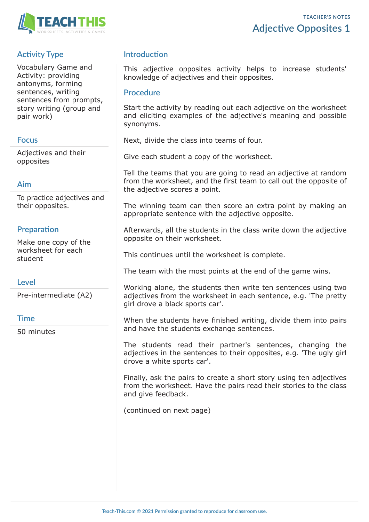

# **Activity Type**

Vocabulary Game and Activity: providing antonyms, forming sentences, writing sentences from prompts, story writing (group and pair work)

## **Focus**

Adjectives and their opposites

## **Aim**

To practice adjectives and their opposites.

# **Preparation**

Make one copy of the worksheet for each student

# **Level**

Pre-intermediate (A2)

## **Time**

50 minutes

## **Introduction**

This adjective opposites activity helps to increase students' knowledge of adjectives and their opposites.

## **Procedure**

Start the activity by reading out each adjective on the worksheet and eliciting examples of the adjective's meaning and possible synonyms.

Next, divide the class into teams of four.

Give each student a copy of the worksheet.

Tell the teams that you are going to read an adjective at random from the worksheet, and the first team to call out the opposite of the adjective scores a point.

The winning team can then score an extra point by making an appropriate sentence with the adjective opposite.

Afterwards, all the students in the class write down the adjective opposite on their worksheet.

This continues until the worksheet is complete.

The team with the most points at the end of the game wins.

Working alone, the students then write ten sentences using two adjectives from the worksheet in each sentence, e.g. 'The pretty girl drove a black sports car'.

When the students have finished writing, divide them into pairs and have the students exchange sentences.

The students read their partner's sentences, changing the adjectives in the sentences to their opposites, e.g. 'The ugly girl drove a white sports car'.

Finally, ask the pairs to create a short story using ten adjectives from the worksheet. Have the pairs read their stories to the class and give feedback.

(continued on next page)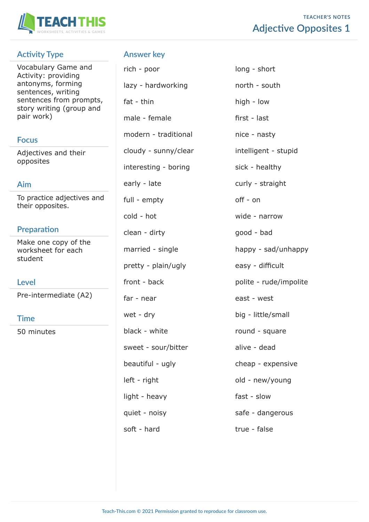

# **TEACHER'S NOTES Adjective Opposites 1**

# **Activity Type**

Vocabulary Game and Activity: providing antonyms, forming sentences, writing sentences from prompts, story writing (group and pair work)

## **Focus**

Adjectives and their opposites

### **Aim**

To practice adjectives and their opposites.

## **Preparation**

Make one copy of the worksheet for each student

### **Level**

Pre-intermediate (A2)

### **Time**

50 minutes

## **Answer key**

rich - poor long - short lazy - hardworking north - south fat - thin high - low male - female first - last modern - traditional nice - nasty cloudy - sunny/clear intelligent - stupid interesting - boring sick - healthy early - late curly - straight full - empty off - on cold - hot wide - narrow clean - dirty good - bad married - single happy - sad/unhappy pretty - plain/ugly easy - difficult front - back polite - rude/impolite far - near east - west wet - dry big - little/small black - white round - square sweet - sour/bitter alive - dead beautiful - ugly expensive left - right details and the old - new/young light - heavy fast - slow quiet - noisy safe - dangerous soft - hard true - false